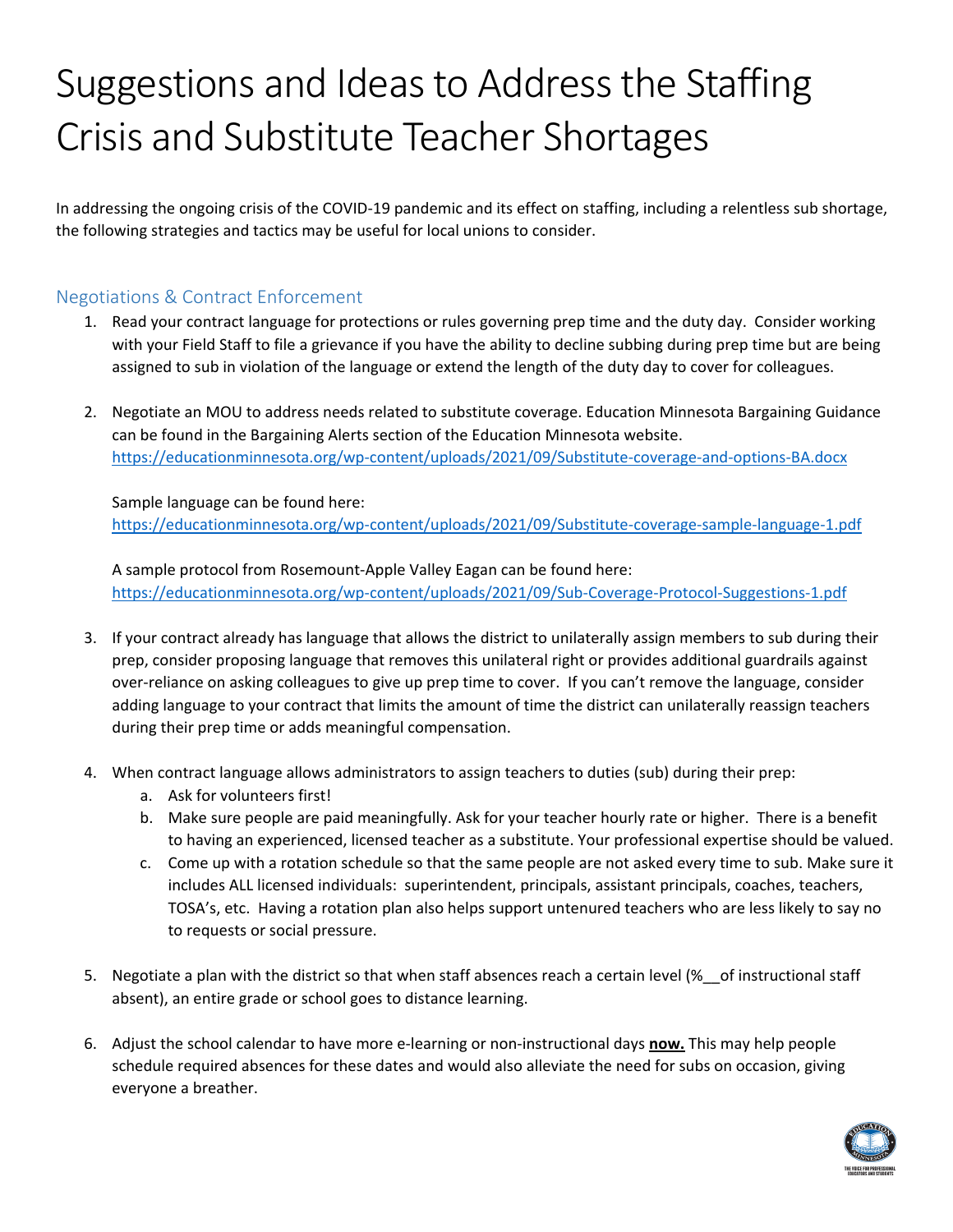# Suggestions and Ideas to Address the Staffing Crisis and Substitute Teacher Shortages

In addressing the ongoing crisis of the COVID-19 pandemic and its effect on staffing, including a relentless sub shortage, the following strategies and tactics may be useful for local unions to consider.

# Negotiations & Contract Enforcement

- 1. Read your contract language for protections or rules governing prep time and the duty day. Consider working with your Field Staff to file a grievance if you have the ability to decline subbing during prep time but are being assigned to sub in violation of the language or extend the length of the duty day to cover for colleagues.
- 2. Negotiate an MOU to address needs related to substitute coverage. Education Minnesota Bargaining Guidance can be found in the Bargaining Alerts section of the Education Minnesota website. <https://educationminnesota.org/wp-content/uploads/2021/09/Substitute-coverage-and-options-BA.docx>

Sample language can be found here: <https://educationminnesota.org/wp-content/uploads/2021/09/Substitute-coverage-sample-language-1.pdf>

A sample protocol from Rosemount-Apple Valley Eagan can be found here: <https://educationminnesota.org/wp-content/uploads/2021/09/Sub-Coverage-Protocol-Suggestions-1.pdf>

- 3. If your contract already has language that allows the district to unilaterally assign members to sub during their prep, consider proposing language that removes this unilateral right or provides additional guardrails against over-reliance on asking colleagues to give up prep time to cover. If you can't remove the language, consider adding language to your contract that limits the amount of time the district can unilaterally reassign teachers during their prep time or adds meaningful compensation.
- 4. When contract language allows administrators to assign teachers to duties (sub) during their prep:
	- a. Ask for volunteers first!
	- b. Make sure people are paid meaningfully. Ask for your teacher hourly rate or higher. There is a benefit to having an experienced, licensed teacher as a substitute. Your professional expertise should be valued.
	- c. Come up with a rotation schedule so that the same people are not asked every time to sub. Make sure it includes ALL licensed individuals: superintendent, principals, assistant principals, coaches, teachers, TOSA's, etc. Having a rotation plan also helps support untenured teachers who are less likely to say no to requests or social pressure.
- 5. Negotiate a plan with the district so that when staff absences reach a certain level (% of instructional staff absent), an entire grade or school goes to distance learning.
- 6. Adjust the school calendar to have more e-learning or non-instructional days **now.** This may help people schedule required absences for these dates and would also alleviate the need for subs on occasion, giving everyone a breather.

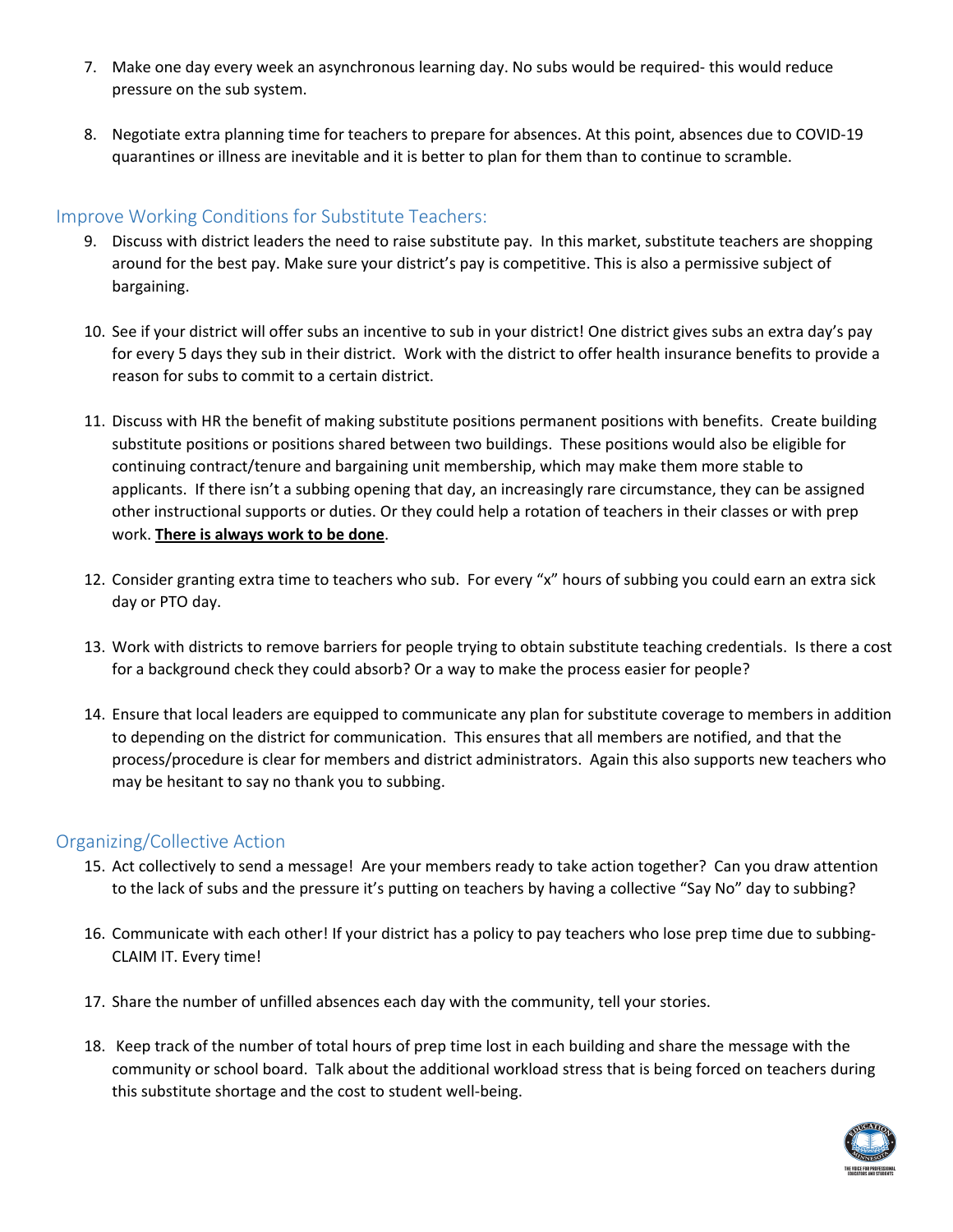- 7. Make one day every week an asynchronous learning day. No subs would be required- this would reduce pressure on the sub system.
- 8. Negotiate extra planning time for teachers to prepare for absences. At this point, absences due to COVID-19 quarantines or illness are inevitable and it is better to plan for them than to continue to scramble.

## Improve Working Conditions for Substitute Teachers:

- 9. Discuss with district leaders the need to raise substitute pay. In this market, substitute teachers are shopping around for the best pay. Make sure your district's pay is competitive. This is also a permissive subject of bargaining.
- 10. See if your district will offer subs an incentive to sub in your district! One district gives subs an extra day's pay for every 5 days they sub in their district. Work with the district to offer health insurance benefits to provide a reason for subs to commit to a certain district.
- 11. Discuss with HR the benefit of making substitute positions permanent positions with benefits. Create building substitute positions or positions shared between two buildings. These positions would also be eligible for continuing contract/tenure and bargaining unit membership, which may make them more stable to applicants. If there isn't a subbing opening that day, an increasingly rare circumstance, they can be assigned other instructional supports or duties. Or they could help a rotation of teachers in their classes or with prep work. **There is always work to be done**.
- 12. Consider granting extra time to teachers who sub. For every "x" hours of subbing you could earn an extra sick day or PTO day.
- 13. Work with districts to remove barriers for people trying to obtain substitute teaching credentials. Is there a cost for a background check they could absorb? Or a way to make the process easier for people?
- 14. Ensure that local leaders are equipped to communicate any plan for substitute coverage to members in addition to depending on the district for communication. This ensures that all members are notified, and that the process/procedure is clear for members and district administrators. Again this also supports new teachers who may be hesitant to say no thank you to subbing.

#### Organizing/Collective Action

- 15. Act collectively to send a message! Are your members ready to take action together? Can you draw attention to the lack of subs and the pressure it's putting on teachers by having a collective "Say No" day to subbing?
- 16. Communicate with each other! If your district has a policy to pay teachers who lose prep time due to subbing-CLAIM IT. Every time!
- 17. Share the number of unfilled absences each day with the community, tell your stories.
- 18. Keep track of the number of total hours of prep time lost in each building and share the message with the community or school board. Talk about the additional workload stress that is being forced on teachers during this substitute shortage and the cost to student well-being.

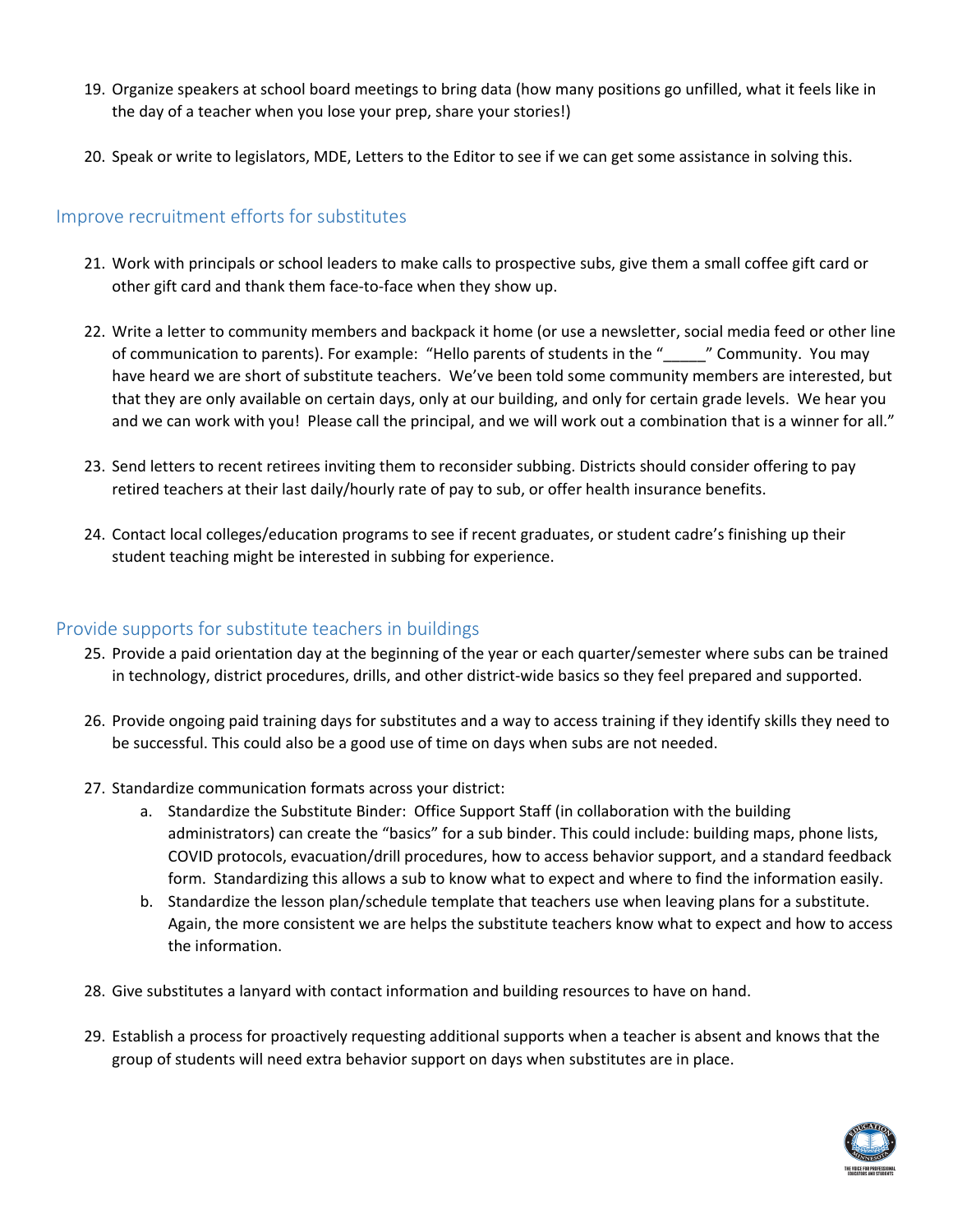- 19. Organize speakers at school board meetings to bring data (how many positions go unfilled, what it feels like in the day of a teacher when you lose your prep, share your stories!)
- 20. Speak or write to legislators, MDE, Letters to the Editor to see if we can get some assistance in solving this.

### Improve recruitment efforts for substitutes

- 21. Work with principals or school leaders to make calls to prospective subs, give them a small coffee gift card or other gift card and thank them face-to-face when they show up.
- 22. Write a letter to community members and backpack it home (or use a newsletter, social media feed or other line of communication to parents). For example: "Hello parents of students in the "\_\_\_\_\_" Community. You may have heard we are short of substitute teachers. We've been told some community members are interested, but that they are only available on certain days, only at our building, and only for certain grade levels. We hear you and we can work with you! Please call the principal, and we will work out a combination that is a winner for all."
- 23. Send letters to recent retirees inviting them to reconsider subbing. Districts should consider offering to pay retired teachers at their last daily/hourly rate of pay to sub, or offer health insurance benefits.
- 24. Contact local colleges/education programs to see if recent graduates, or student cadre's finishing up their student teaching might be interested in subbing for experience.

#### Provide supports for substitute teachers in buildings

- 25. Provide a paid orientation day at the beginning of the year or each quarter/semester where subs can be trained in technology, district procedures, drills, and other district-wide basics so they feel prepared and supported.
- 26. Provide ongoing paid training days for substitutes and a way to access training if they identify skills they need to be successful. This could also be a good use of time on days when subs are not needed.
- 27. Standardize communication formats across your district:
	- a. Standardize the Substitute Binder: Office Support Staff (in collaboration with the building administrators) can create the "basics" for a sub binder. This could include: building maps, phone lists, COVID protocols, evacuation/drill procedures, how to access behavior support, and a standard feedback form. Standardizing this allows a sub to know what to expect and where to find the information easily.
	- b. Standardize the lesson plan/schedule template that teachers use when leaving plans for a substitute. Again, the more consistent we are helps the substitute teachers know what to expect and how to access the information.
- 28. Give substitutes a lanyard with contact information and building resources to have on hand.
- 29. Establish a process for proactively requesting additional supports when a teacher is absent and knows that the group of students will need extra behavior support on days when substitutes are in place.